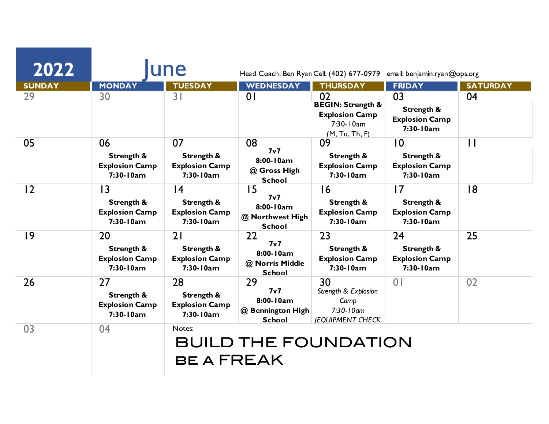| 2022          | une                                                                 |                                                          | Head Coach: Ben Ryan Cell: (402) 677-0979<br>email: benjamin.ryan@ops.org |                                                                                            |                                                                    |                 |  |
|---------------|---------------------------------------------------------------------|----------------------------------------------------------|---------------------------------------------------------------------------|--------------------------------------------------------------------------------------------|--------------------------------------------------------------------|-----------------|--|
| <b>SUNDAY</b> | <b>MONDAY</b>                                                       | <b>TUESDAY</b>                                           | <b>WEDNESDAY</b>                                                          | <b>THURSDAY</b>                                                                            | <b>FRIDAY</b>                                                      | <b>SATURDAY</b> |  |
| 29            | 30                                                                  | 3 <sup>1</sup>                                           | 0 <sup>1</sup>                                                            | 02<br><b>BEGIN: Strength &amp;</b><br><b>Explosion Camp</b><br>7:30-10am<br>(M, Tu, Th, F) | 03<br>Strength &<br><b>Explosion Camp</b><br>7:30-10am             | 04              |  |
| 05            | 06<br>Strength &<br><b>Explosion Camp</b><br>7:30-10am              | 07<br>Strength &<br><b>Explosion Camp</b><br>7:30-10am   | 08<br>7 <sub>v</sub> 7<br>8:00-10am<br>@ Gross High<br><b>School</b>      | 09<br>Strength &<br><b>Explosion Camp</b><br>7:30-10am                                     | $\overline{0}$<br>Strength &<br><b>Explosion Camp</b><br>7:30-10am | $\mathbf{1}$    |  |
| 12            | $\overline{13}$<br>Strength &<br><b>Explosion Camp</b><br>7:30-10am | 4<br>Strength &<br><b>Explosion Camp</b><br>7:30-10am    | 15<br>7 <sub>v</sub><br>8:00-10am<br>@ Northwest High<br><b>School</b>    | 16<br>Strength &<br><b>Explosion Camp</b><br>7:30-10am                                     | 17<br>Strength &<br><b>Explosion Camp</b><br>7:30-10am             | 18              |  |
| 9             | 20<br>Strength &<br><b>Explosion Camp</b><br>7:30-10am              | 21<br>Strength &<br><b>Explosion Camp</b><br>7:30-10am   | 22<br>7v7<br>8:00-10am<br>@ Norris Middle<br><b>School</b>                | 23<br>Strength &<br><b>Explosion Camp</b><br>7:30-10am                                     | 24<br>Strength &<br><b>Explosion Camp</b><br>7:30-10am             | 25              |  |
| 26            | 27<br>Strength &<br><b>Explosion Camp</b><br>7:30-10am              | 28<br>Strength &<br><b>Explosion Camp</b><br>$7:30-10am$ | 29<br>7 <sub>v</sub><br>8:00-10am<br>@ Bennington High<br><b>School</b>   | 30<br>Strength & Explosion<br>Camp<br>$7:30 - 10$ am<br>(EQUIPMENT CHECK                   | 0 <sub>1</sub>                                                     | 02              |  |
| 03            | 04                                                                  | Notes:<br><b>BE A FREAK</b>                              |                                                                           | <b>BUILD THE FOUNDATION</b>                                                                |                                                                    |                 |  |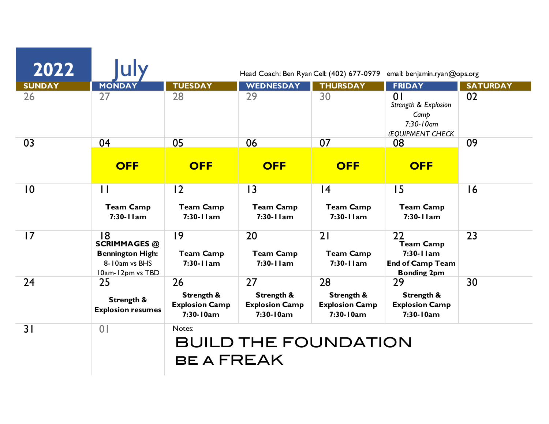| 2022           |                                                                                           | Head Coach: Ben Ryan Cell: (402) 677-0979<br>email: benjamin.ryan@ops.org |                                                        |                                                        |                                                                                        |                 |  |
|----------------|-------------------------------------------------------------------------------------------|---------------------------------------------------------------------------|--------------------------------------------------------|--------------------------------------------------------|----------------------------------------------------------------------------------------|-----------------|--|
| <b>SUNDAY</b>  | <b>MONDAY</b>                                                                             | <b>TUESDAY</b>                                                            | <b>WEDNESDAY</b>                                       | <b>THURSDAY</b>                                        | <b>FRIDAY</b>                                                                          | <b>SATURDAY</b> |  |
| 26             | 27                                                                                        | 28                                                                        | 29                                                     | 30                                                     | 0 <sup>1</sup><br>Strength & Explosion<br>Camp<br>$7:30 - 10$ am<br>(EQUIPMENT CHECK   | 02              |  |
| 03             | 04                                                                                        | 05                                                                        | 06                                                     | 07                                                     | 08                                                                                     | 09              |  |
|                | <b>OFF</b>                                                                                | <b>OFF</b>                                                                | <b>OFF</b>                                             | <b>OFF</b>                                             | <b>OFF</b>                                                                             |                 |  |
| $\overline{0}$ | $\mathbf{1}$                                                                              | 12                                                                        | 3                                                      | 4                                                      | 15                                                                                     | 16              |  |
|                | <b>Team Camp</b><br>$7:30-11am$                                                           | <b>Team Camp</b><br>$7:30-11am$                                           | <b>Team Camp</b><br>$7:30-11am$                        | <b>Team Camp</b><br>$7:30 - 11$ am                     | <b>Team Camp</b><br>7:30-11am                                                          |                 |  |
| 17             | 18<br><b>SCRIMMAGES @</b><br><b>Bennington High:</b><br>8-10am vs BHS<br>10am-12pm vs TBD | 9<br><b>Team Camp</b><br>$7:30-11am$                                      | 20<br><b>Team Camp</b><br>$7:30-11am$                  | 21<br><b>Team Camp</b><br>$7:30-11am$                  | 22<br><b>Team Camp</b><br>$7:30-11am$<br><b>End of Camp Team</b><br><b>Bonding 2pm</b> | 23              |  |
| 24             | 25<br>Strength &<br><b>Explosion resumes</b>                                              | 26<br><b>Strength &amp;</b><br><b>Explosion Camp</b><br>7:30-10am         | 27<br>Strength &<br><b>Explosion Camp</b><br>7:30-10am | 28<br>Strength &<br><b>Explosion Camp</b><br>7:30-10am | 29<br>Strength &<br><b>Explosion Camp</b><br>7:30-10am                                 | 30              |  |
|                | 0 <sub>1</sub>                                                                            | Notes:                                                                    |                                                        |                                                        |                                                                                        |                 |  |
| 31             |                                                                                           | <b>BUILD THE FOUNDATION</b>                                               |                                                        |                                                        |                                                                                        |                 |  |
|                |                                                                                           | <b>BE A FREAK</b>                                                         |                                                        |                                                        |                                                                                        |                 |  |